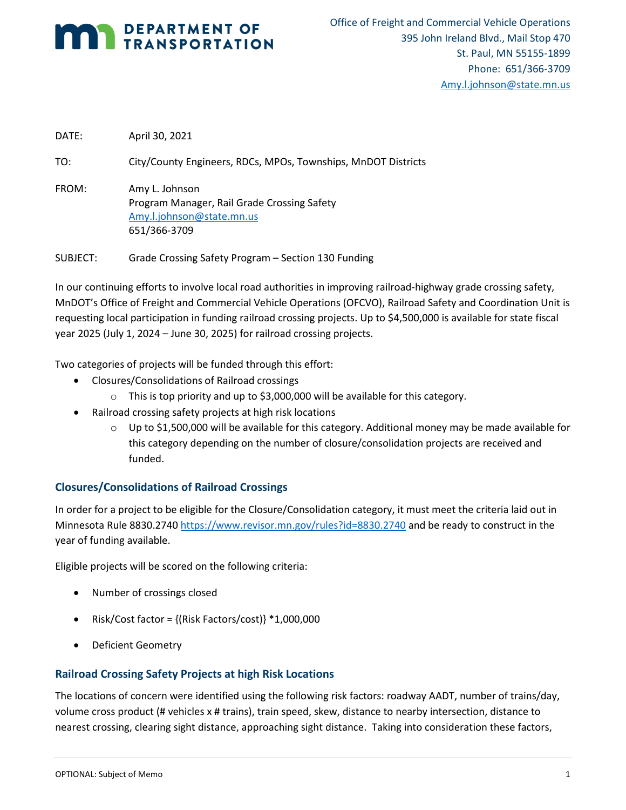# DEPARTMENT OF TRANSPORTATION

DATE: April 30, 2021

TO: City/County Engineers, RDCs, MPOs, Townships, MnDOT Districts

FROM: Amy L. Johnson Program Manager, Rail Grade Crossing Safety [Amy.l.johnson@state.mn.us](mailto:Amy.l.johnson@state.mn.us) 651/366-3709

SUBJECT: Grade Crossing Safety Program – Section 130 Funding

In our continuing efforts to involve local road authorities in improving railroad-highway grade crossing safety, MnDOT's Office of Freight and Commercial Vehicle Operations (OFCVO), Railroad Safety and Coordination Unit is requesting local participation in funding railroad crossing projects. Up to \$4,500,000 is available for state fiscal year 2025 (July 1, 2024 – June 30, 2025) for railroad crossing projects.

Two categories of projects will be funded through this effort:

- Closures/Consolidations of Railroad crossings
	- o This is top priority and up to \$3,000,000 will be available for this category.
- Railroad crossing safety projects at high risk locations
	- $\circ$  Up to \$1,500,000 will be available for this category. Additional money may be made available for this category depending on the number of closure/consolidation projects are received and funded.

# **Closures/Consolidations of Railroad Crossings**

In order for a project to be eligible for the Closure/Consolidation category, it must meet the criteria laid out in Minnesota Rule 8830.274[0 https://www.revisor.mn.gov/rules?id=8830.2740](https://www.revisor.mn.gov/rules?id=8830.2740) and be ready to construct in the year of funding available.

Eligible projects will be scored on the following criteria:

- Number of crossings closed
- Risk/Cost factor = {(Risk Factors/cost)} \*1,000,000
- Deficient Geometry

### **Railroad Crossing Safety Projects at high Risk Locations**

The locations of concern were identified using the following risk factors: roadway AADT, number of trains/day, volume cross product (# vehicles x # trains), train speed, skew, distance to nearby intersection, distance to nearest crossing, clearing sight distance, approaching sight distance. Taking into consideration these factors,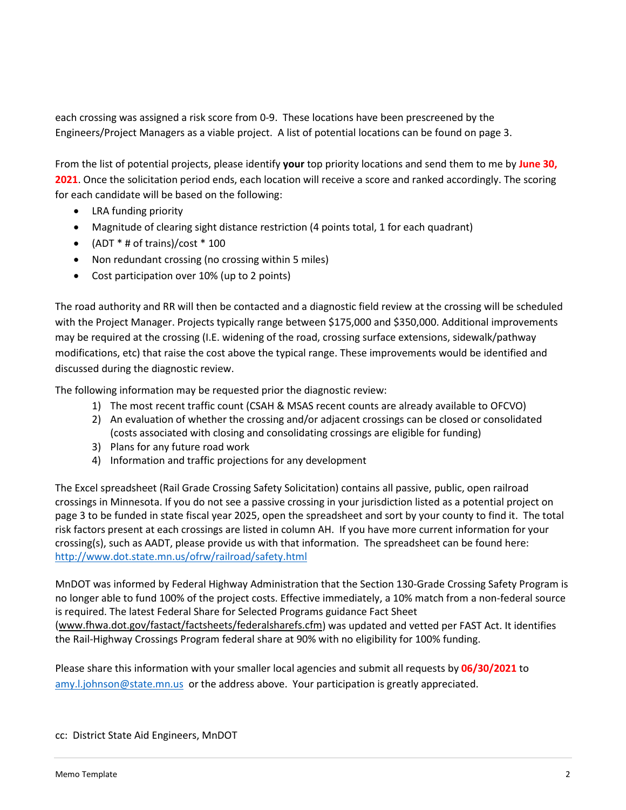each crossing was assigned a risk score from 0-9. These locations have been prescreened by the Engineers/Project Managers as a viable project. A list of potential locations can be found on page 3.

From the list of potential projects, please identify **your** top priority locations and send them to me by **June 30, 2021**. Once the solicitation period ends, each location will receive a score and ranked accordingly. The scoring for each candidate will be based on the following:

- LRA funding priority
- Magnitude of clearing sight distance restriction (4 points total, 1 for each quadrant)
- $(ADT * # of trains)/cost * 100$
- Non redundant crossing (no crossing within 5 miles)
- Cost participation over 10% (up to 2 points)

The road authority and RR will then be contacted and a diagnostic field review at the crossing will be scheduled with the Project Manager. Projects typically range between \$175,000 and \$350,000. Additional improvements may be required at the crossing (I.E. widening of the road, crossing surface extensions, sidewalk/pathway modifications, etc) that raise the cost above the typical range. These improvements would be identified and discussed during the diagnostic review.

The following information may be requested prior the diagnostic review:

- 1) The most recent traffic count (CSAH & MSAS recent counts are already available to OFCVO)
- 2) An evaluation of whether the crossing and/or adjacent crossings can be closed or consolidated (costs associated with closing and consolidating crossings are eligible for funding)
- 3) Plans for any future road work
- 4) Information and traffic projections for any development

The Excel spreadsheet (Rail Grade Crossing Safety Solicitation) contains all passive, public, open railroad crossings in Minnesota. If you do not see a passive crossing in your jurisdiction listed as a potential project on page 3 to be funded in state fiscal year 2025, open the spreadsheet and sort by your county to find it. The total risk factors present at each crossings are listed in column AH. If you have more current information for your crossing(s), such as AADT, please provide us with that information. The spreadsheet can be found here: <http://www.dot.state.mn.us/ofrw/railroad/safety.html>

MnDOT was informed by Federal Highway Administration that the Section 130-Grade Crossing Safety Program is no longer able to fund 100% of the project costs. Effective immediately, a 10% match from a non-federal source is required. The latest Federal Share for Selected Programs guidance Fact Sheet [\(www.fhwa.dot.gov/fastact/factsheets/federalsharefs.cfm\)](http://www.fhwa.dot.gov/fastact/factsheets/federalsharefs.cfm) was updated and vetted per FAST Act. It identifies the Rail-Highway Crossings Program federal share at 90% with no eligibility for 100% funding.

Please share this information with your smaller local agencies and submit all requests by **06/30/2021** to [amy.l.johnson@state.mn.us](mailto:amy.l.johnson@state.mn.us) or the address above. Your participation is greatly appreciated.